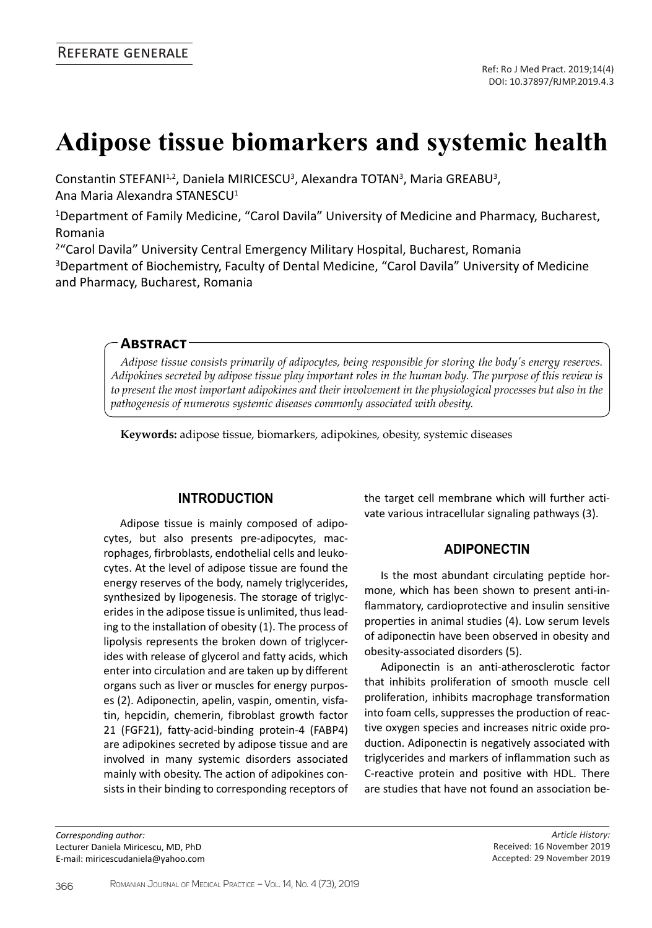# **Adipose tissue biomarkers and systemic health**

Constantin STEFANI<sup>1,2</sup>, Daniela MIRICESCU<sup>3</sup>, Alexandra TOTAN<sup>3</sup>, Maria GREABU<sup>3</sup>, Ana Maria Alexandra STANESCU<sup>1</sup>

<sup>1</sup>Department of Family Medicine, "Carol Davila" University of Medicine and Pharmacy, Bucharest, Romania

<sup>2</sup>"Carol Davila" University Central Emergency Military Hospital, Bucharest, Romania <sup>3</sup>Department of Biochemistry, Faculty of Dental Medicine, "Carol Davila" University of Medicine

and Pharmacy, Bucharest, Romania

#### **Abstract**

*Adipose tissue consists primarily of adipocytes, being responsible for storing the body's energy reserves. Adipokines secreted by adipose tissue play important roles in the human body. The purpose of this review is to present the most important adipokines and their involvement in the physiological processes but also in the pathogenesis of numerous systemic diseases commonly associated with obesity.*

**Keywords:** adipose tissue, biomarkers, adipokines, obesity, systemic diseases

## **Introduction**

Adipose tissue is mainly composed of adipocytes, but also presents pre-adipocytes, macrophages, firbroblasts, endothelial cells and leukocytes. At the level of adipose tissue are found the energy reserves of the body, namely triglycerides, synthesized by lipogenesis. The storage of triglycerides in the adipose tissue is unlimited, thus leading to the installation of obesity (1). The process of lipolysis represents the broken down of triglycerides with release of glycerol and fatty acids, which enter into circulation and are taken up by different organs such as liver or muscles for energy purposes (2). Adiponectin, apelin, vaspin, omentin, visfatin, hepcidin, chemerin, fibroblast growth factor 21 (FGF21), fatty-acid-binding protein-4 (FABP4) are adipokines secreted by adipose tissue and are involved in many systemic disorders associated mainly with obesity. The action of adipokines consists in their binding to corresponding receptors of

*Corresponding author:*  Lecturer Daniela Miricescu, MD, PhD E-mail: miricescudaniela@yahoo.com the target cell membrane which will further activate various intracellular signaling pathways (3).

## **Adiponectin**

Is the most abundant circulating peptide hormone, which has been shown to present anti-inflammatory, cardioprotective and insulin sensitive properties in animal studies (4). Low serum levels of adiponectin have been observed in obesity and obesity-associated disorders (5).

Adiponectin is an anti-atherosclerotic factor that inhibits proliferation of smooth muscle cell proliferation, inhibits macrophage transformation into foam cells, suppresses the production of reactive oxygen species and increases nitric oxide production. Adiponectin is negatively associated with triglycerides and markers of inflammation such as C-reactive protein and positive with HDL. There are studies that have not found an association be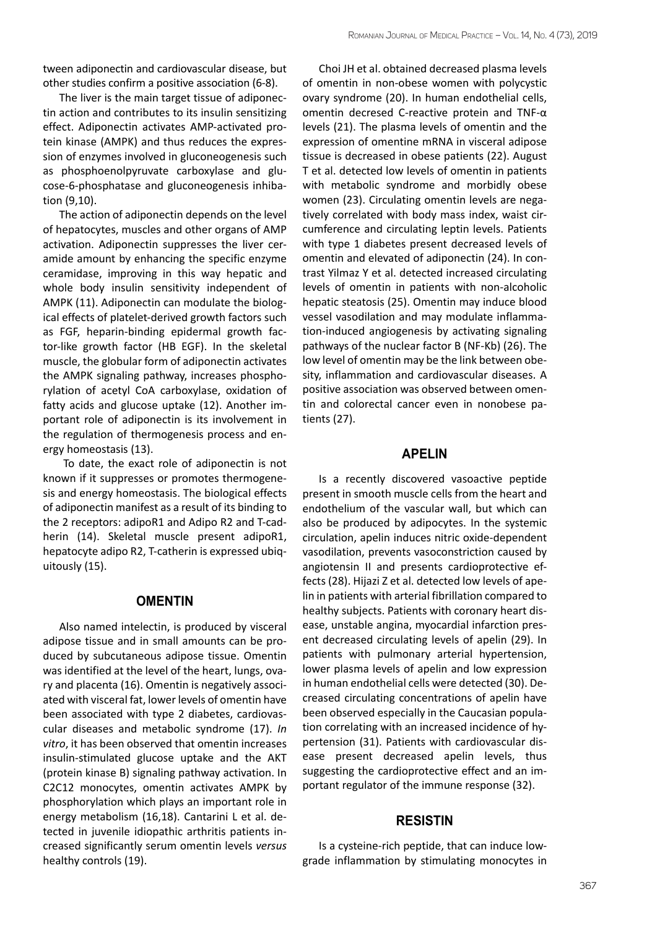tween adiponectin and cardiovascular disease, but other studies confirm a positive association (6-8).

The liver is the main target tissue of adiponectin action and contributes to its insulin sensitizing effect. Adiponectin activates AMP-activated protein kinase (AMPK) and thus reduces the expression of enzymes involved in gluconeogenesis such as phosphoenolpyruvate carboxylase and glucose-6-phosphatase and gluconeogenesis inhibation (9,10).

The action of adiponectin depends on the level of hepatocytes, muscles and other organs of AMP activation. Adiponectin suppresses the liver ceramide amount by enhancing the specific enzyme ceramidase, improving in this way hepatic and whole body insulin sensitivity independent of AMPK (11). Adiponectin can modulate the biological effects of platelet-derived growth factors such as FGF, heparin-binding epidermal growth factor-like growth factor (HB EGF). In the skeletal muscle, the globular form of adiponectin activates the AMPK signaling pathway, increases phosphorylation of acetyl CoA carboxylase, oxidation of fatty acids and glucose uptake (12). Another important role of adiponectin is its involvement in the regulation of thermogenesis process and energy homeostasis (13).

 To date, the exact role of adiponectin is not known if it suppresses or promotes thermogenesis and energy homeostasis. The biological effects of adiponectin manifest as a result of its binding to the 2 receptors: adipoR1 and Adipo R2 and T-cadherin (14). Skeletal muscle present adipoR1, hepatocyte adipo R2, T-catherin is expressed ubiquitously (15).

## **OMENTIN**

Also named intelectin, is produced by visceral adipose tissue and in small amounts can be produced by subcutaneous adipose tissue. Omentin was identified at the level of the heart, lungs, ovary and placenta (16). Omentin is negatively associated with visceral fat, lower levels of omentin have been associated with type 2 diabetes, cardiovascular diseases and metabolic syndrome (17). *In vitro*, it has been observed that omentin increases insulin-stimulated glucose uptake and the AKT (protein kinase B) signaling pathway activation. In C2C12 monocytes, omentin activates AMPK by phosphorylation which plays an important role in energy metabolism (16,18). Cantarini L et al. detected in juvenile idiopathic arthritis patients increased significantly serum omentin levels *versus* healthy controls (19).

Choi JH et al. obtained decreased plasma levels of omentin in non-obese women with polycystic ovary syndrome (20). In human endothelial cells, omentin decresed C-reactive protein and TNF-α levels (21). The plasma levels of omentin and the expression of omentine mRNA in visceral adipose tissue is decreased in obese patients (22). August T et al. detected low levels of omentin in patients with metabolic syndrome and morbidly obese women (23). Circulating omentin levels are negatively correlated with body mass index, waist circumference and circulating leptin levels. Patients with type 1 diabetes present decreased levels of omentin and elevated of adiponectin (24). In contrast Yilmaz Y et al. detected increased circulating levels of omentin in patients with non-alcoholic hepatic steatosis (25). Omentin may induce blood vessel vasodilation and may modulate inflammation-induced angiogenesis by activating signaling pathways of the nuclear factor B (NF-Kb) (26). The low level of omentin may be the link between obesity, inflammation and cardiovascular diseases. A positive association was observed between omentin and colorectal cancer even in nonobese patients (27).

#### **Apelin**

Is a recently discovered vasoactive peptide present in smooth muscle cells from the heart and endothelium of the vascular wall, but which can also be produced by adipocytes. In the systemic circulation, apelin induces nitric oxide-dependent vasodilation, prevents vasoconstriction caused by angiotensin II and presents cardioprotective effects (28). Hijazi Z et al. detected low levels of apelin in patients with arterial fibrillation compared to healthy subjects. Patients with coronary heart disease, unstable angina, myocardial infarction present decreased circulating levels of apelin (29). In patients with pulmonary arterial hypertension, lower plasma levels of apelin and low expression in human endothelial cells were detected (30). Decreased circulating concentrations of apelin have been observed especially in the Caucasian population correlating with an increased incidence of hypertension (31). Patients with cardiovascular disease present decreased apelin levels, thus suggesting the cardioprotective effect and an important regulator of the immune response (32).

#### **Resistin**

Is a cysteine-rich peptide, that can induce lowgrade inflammation by stimulating monocytes in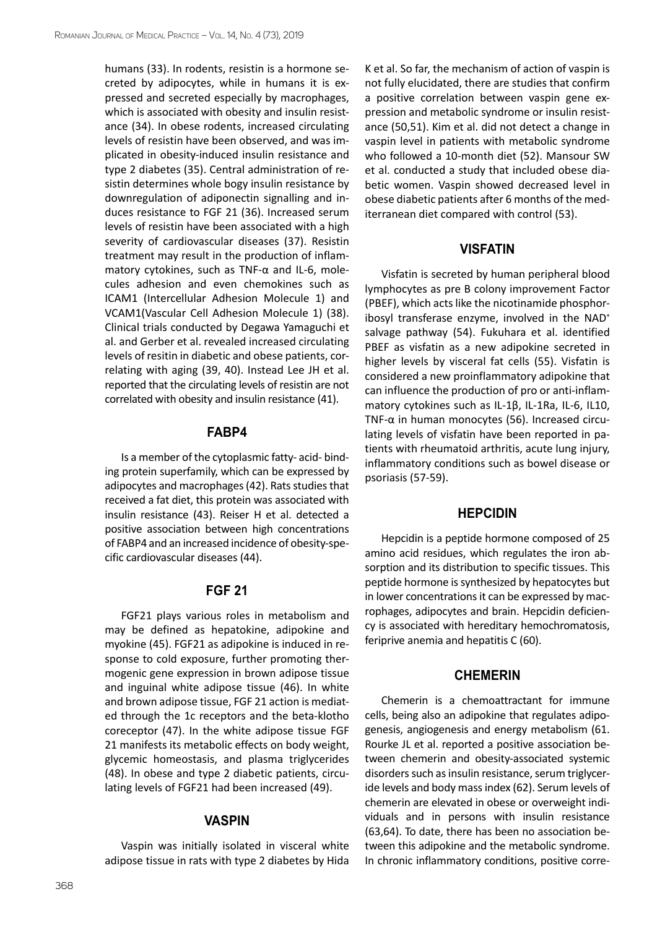humans (33). In rodents, resistin is a hormone secreted by adipocytes, while in humans it is expressed and secreted especially by macrophages, which is associated with obesity and insulin resistance (34). In obese rodents, increased circulating levels of resistin have been observed, and was implicated in obesity-induced insulin resistance and type 2 diabetes (35). Central administration of resistin determines whole bogy insulin resistance by downregulation of adiponectin signalling and induces resistance to FGF 21 (36). Increased serum levels of resistin have been associated with a high severity of cardiovascular diseases (37). Resistin treatment may result in the production of inflammatory cytokines, such as TNF-α and IL-6, molecules adhesion and even chemokines such as ICAM1 [\(Intercellular Adhesion Molecule](https://en.wikipedia.org/wiki/Intercellular_adhesion_molecule) 1) and VCAM1(Vascular Cell Adhesion Molecule 1) (38). Clinical trials conducted by Degawa Yamaguchi et al. and Gerber et al. revealed increased circulating levels of resitin in diabetic and obese patients, correlating with aging (39, 40). Instead Lee JH et al. reported that the circulating levels of resistin are not correlated with obesity and insulin resistance (41).

#### **FABP4**

Is a member of the cytoplasmic fatty- acid- binding protein superfamily, which can be expressed by adipocytes and macrophages (42). Rats studies that received a fat diet, this protein was associated with insulin resistance (43). Reiser H et al. detected a positive association between high concentrations of FABP4 and an increased incidence of obesity-specific cardiovascular diseases (44).

#### **FGF 21**

FGF21 plays various roles in metabolism and may be defined as hepatokine, adipokine and myokine (45). FGF21 as adipokine is induced in response to cold exposure, further promoting thermogenic gene expression in brown adipose tissue and inguinal white adipose tissue (46). In white and brown adipose tissue, FGF 21 action is mediated through the 1c receptors and the beta-klotho coreceptor (47). In the white adipose tissue FGF 21 manifests its metabolic effects on body weight, glycemic homeostasis, and plasma triglycerides (48). In obese and type 2 diabetic patients, circulating levels of FGF21 had been increased (49).

#### **Vaspin**

Vaspin was initially isolated in visceral white adipose tissue in rats with type 2 diabetes by Hida K et al. So far, the mechanism of action of vaspin is not fully elucidated, there are studies that confirm a positive correlation between vaspin gene expression and metabolic syndrome or insulin resistance (50,51). Kim et al. did not detect a change in vaspin level in patients with metabolic syndrome who followed a 10-month diet (52). Mansour SW et al. conducted a study that included obese diabetic women. Vaspin showed decreased level in obese diabetic patients after 6 months of the mediterranean diet compared with control (53).

#### **Visfatin**

Visfatin is secreted by human peripheral blood lymphocytes as pre B colony improvement Factor (PBEF), which acts like the nicotinamide phosphoribosyl transferase enzyme, involved in the NAD<sup>+</sup> salvage pathway (54). Fukuhara et al. identified PBEF as visfatin as a new adipokine secreted in higher levels by visceral fat cells (55). Visfatin is considered a new proinflammatory adipokine that can influence the production of pro or anti-inflammatory cytokines such as IL-1β, IL-1Ra, IL-6, IL10, TNF- $\alpha$  in human monocytes (56). Increased circulating levels of visfatin have been reported in patients with rheumatoid arthritis, acute lung injury, inflammatory conditions such as bowel disease or psoriasis (57-59).

#### **Hepcidin**

Hepcidin is a peptide hormone composed of 25 amino acid residues, which regulates the iron absorption and its distribution to specific tissues. This peptide hormone is synthesized by hepatocytes but in lower concentrations it can be expressed by macrophages, adipocytes and brain. Hepcidin deficiency is associated with hereditary hemochromatosis, feriprive anemia and hepatitis C (60).

## **Chemerin**

Chemerin is a chemoattractant for immune cells, being also an adipokine that regulates adipogenesis, angiogenesis and energy metabolism (61. Rourke JL et al. reported a positive association between chemerin and obesity-associated systemic disorders such as insulin resistance, serum triglyceride levels and body mass index (62). Serum levels of chemerin are elevated in obese or overweight individuals and in persons with insulin resistance (63,64). To date, there has been no association between this adipokine and the metabolic syndrome. In chronic inflammatory conditions, positive corre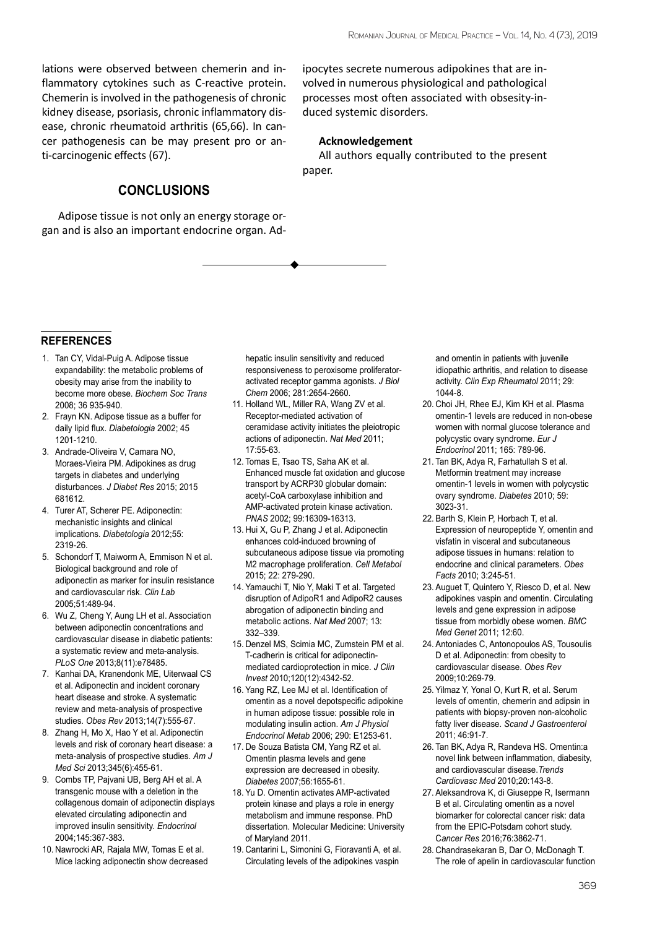lations were observed between chemerin and inflammatory cytokines such as C-reactive protein. Chemerin is involved in the pathogenesis of chronic kidney disease, psoriasis, chronic inflammatory disease, chronic rheumatoid arthritis (65,66). In cancer pathogenesis can be may present pro or anti-carcinogenic effects (67).

# **Conclusions**

Adipose tissue is not only an energy storage organ and is also an important endocrine organ. Adipocytes secrete numerous adipokines that are involved in numerous physiological and pathological processes most often associated with obsesity-induced systemic disorders.

#### **Acknowledgement**

All authors equally contributed to the present paper.

#### **references**

- 1. Tan CY, Vidal-Puig A. Adipose tissue expandability: the metabolic problems of obesity may arise from the inability to become more obese. *Biochem Soc Trans* 2008; 36 935-940.
- 2. Frayn KN. Adipose tissue as a buffer for daily lipid flux. *Diabetologia* 2002; 45 1201-1210.
- 3. Andrade-Oliveira V, Camara NO, Moraes-Vieira PM. Adipokines as drug targets in diabetes and underlying disturbances. *J Diabet Res* 2015; 2015 681612.
- 4. Turer AT, Scherer PE. Adiponectin: mechanistic insights and clinical implications. *Diabetologia* 2012;55: 2319-26.
- 5. Schondorf T, Maiworm A, Emmison N et al. Biological background and role of adiponectin as marker for insulin resistance and cardiovascular risk. *Clin Lab* 2005;51:489-94.
- 6. Wu Z, Cheng Y, Aung LH et al. Association between adiponectin concentrations and cardiovascular disease in diabetic patients: a systematic review and meta-analysis. *PLoS One* 2013;8(11):e78485.
- 7. Kanhai DA, Kranendonk ME, Uiterwaal CS et al. Adiponectin and incident coronary heart disease and stroke. A systematic review and meta-analysis of prospective studies. *Obes Rev* 2013;14(7):555-67.
- 8. Zhang H, Mo X, Hao Y et al. Adiponectin levels and risk of coronary heart disease: a meta-analysis of prospective studies. *Am J Med Sci* 2013;345(6):455-61.
- 9. Combs TP, Pajvani UB, Berg AH et al. A transgenic mouse with a deletion in the collagenous domain of adiponectin displays elevated circulating adiponectin and improved insulin sensitivity. *Endocrinol* 2004;145:367-383.
- 10. Nawrocki AR, Rajala MW, Tomas E et al. Mice lacking adiponectin show decreased

hepatic insulin sensitivity and reduced responsiveness to peroxisome proliferatoractivated receptor gamma agonists. *J Biol Chem* 2006; 281:2654-2660.

- 11. Holland WL, Miller RA, Wang ZV et al. Receptor-mediated activation of ceramidase activity initiates the pleiotropic actions of adiponectin. *Nat Med* 2011; 17:55-63.
- 12. Tomas E, Tsao TS, Saha AK et al. Enhanced muscle fat oxidation and glucose transport by ACRP30 globular domain: acetyl-CoA carboxylase inhibition and AMP-activated protein kinase activation. *PNAS* 2002; 99:16309-16313.
- 13. Hui X, Gu P, Zhang J et al. Adiponectin enhances cold-induced browning of subcutaneous adipose tissue via promoting M2 macrophage proliferation. *Cell Metabol* 2015; 22: 279-290.
- 14. Yamauchi T, Nio Y, Maki T et al. Targeted disruption of AdipoR1 and AdipoR2 causes abrogation of adiponectin binding and metabolic actions. *Nat Med* 2007; 13: 332–339.
- 15. Denzel MS, Scimia MC, Zumstein PM et al. T-cadherin is critical for adiponectinmediated cardioprotection in mice. *J Clin Invest* 2010;120(12):4342-52.
- 16. Yang RZ, Lee MJ et al. Identification of omentin as a novel depotspecific adipokine in human adipose tissue: possible role in modulating insulin action. *Am J Physiol Endocrinol Metab* 2006; 290: E1253-61.
- 17. De Souza Batista CM, Yang RZ et al. Omentin plasma levels and gene expression are decreased in obesity. *Diabetes* 2007;56:1655-61.
- 18. Yu D. Omentin activates AMP-activated protein kinase and plays a role in energy metabolism and immune response. PhD dissertation. Molecular Medicine: University of Maryland 2011.
- 19. Cantarini L, Simonini G, Fioravanti A, et al. Circulating levels of the adipokines vaspin

and omentin in patients with juvenile idiopathic arthritis, and relation to disease activity. *Clin Exp Rheumatol* 2011; 29: 1044-8.

- 20. Choi JH, Rhee EJ, Kim KH et al. Plasma omentin-1 levels are reduced in non-obese women with normal glucose tolerance and polycystic ovary syndrome. *Eur J Endocrinol* 2011; 165: 789-96.
- 21. Tan BK, Adya R, Farhatullah S et al. Metformin treatment may increase omentin-1 levels in women with polycystic ovary syndrome. *Diabetes* 2010; 59: 3023-31.
- 22. Barth S, Klein P, Horbach T, et al. Expression of neuropeptide Y, omentin and visfatin in visceral and subcutaneous adipose tissues in humans: relation to endocrine and clinical parameters. *Obes Facts* 2010; 3:245-51.
- 23. Auguet T, Quintero Y, Riesco D, et al. New adipokines vaspin and omentin. Circulating levels and gene expression in adipose tissue from morbidly obese women. *BMC Med Genet* 2011; 12:60.
- 24. Antoniades C, Antonopoulos AS, Tousoulis D et al. Adiponectin: from obesity to cardiovascular disease. *Obes Rev* 2009;10:269-79.
- 25. Yilmaz Y, Yonal O, Kurt R, et al. Serum levels of omentin, chemerin and adipsin in patients with biopsy-proven non-alcoholic fatty liver disease. *Scand J Gastroenterol* 2011; 46:91-7.
- 26. Tan BK, Adya R, Randeva HS. Omentin:a novel link between inflammation, diabesity, and cardiovascular disease.*Trends Cardiovasc Med* 2010;20:143-8.
- 27. Aleksandrova K, di Giuseppe R, Isermann B et al. Circulating omentin as a novel biomarker for colorectal cancer risk: data from the EPIC-Potsdam cohort study. C*ancer Res* 2016;76:3862-71.
- 28. Chandrasekaran B, Dar O, McDonagh T. The role of apelin in cardiovascular function